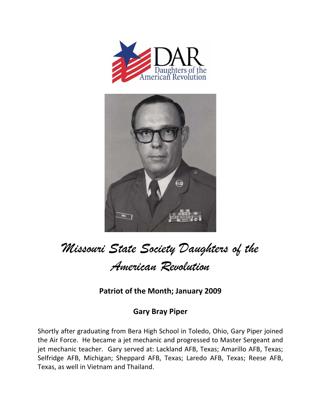



## *Missouri State Society Daughters of the American Revolution*

**Patriot of the Month; January 2009**

## **Gary Bray Piper**

Shortly after graduating from Bera High School in Toledo, Ohio, Gary Piper joined the Air Force. He became a jet mechanic and progressed to Master Sergeant and jet mechanic teacher. Gary served at: Lackland AFB, Texas; Amarillo AFB, Texas; Selfridge AFB, Michigan; Sheppard AFB, Texas; Laredo AFB, Texas; Reese AFB, Texas, as well in Vietnam and Thailand.